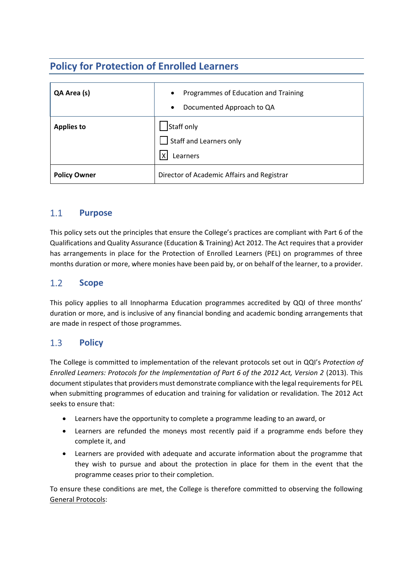## **Policy for Protection of Enrolled Learners**

| QA Area (s)         | Programmes of Education and Training<br>$\bullet$<br>Documented Approach to QA<br>$\bullet$ |
|---------------------|---------------------------------------------------------------------------------------------|
| <b>Applies to</b>   | Staff only<br>$\Box$ Staff and Learners only<br>х<br>Learners                               |
| <b>Policy Owner</b> | Director of Academic Affairs and Registrar                                                  |

## $1.1$ **Purpose**

This policy sets out the principles that ensure the College's practices are compliant with Part 6 of the Qualifications and Quality Assurance (Education & Training) Act 2012. The Act requires that a provider has arrangements in place for the Protection of Enrolled Learners (PEL) on programmes of three months duration or more, where monies have been paid by, or on behalf of the learner, to a provider.

## $1.2$ **Scope**

This policy applies to all Innopharma Education programmes accredited by QQI of three months' duration or more, and is inclusive of any financial bonding and academic bonding arrangements that are made in respect of those programmes.

## $1.3$ **Policy**

The College is committed to implementation of the relevant protocols set out in QQI's *Protection of Enrolled Learners: Protocols for the Implementation of Part 6 of the 2012 Act, Version 2* (2013). This document stipulates that providers must demonstrate compliance with the legal requirements for PEL when submitting programmes of education and training for validation or revalidation. The 2012 Act seeks to ensure that:

- Learners have the opportunity to complete a programme leading to an award, or
- Learners are refunded the moneys most recently paid if a programme ends before they complete it, and
- Learners are provided with adequate and accurate information about the programme that they wish to pursue and about the protection in place for them in the event that the programme ceases prior to their completion.

To ensure these conditions are met, the College is therefore committed to observing the following General Protocols: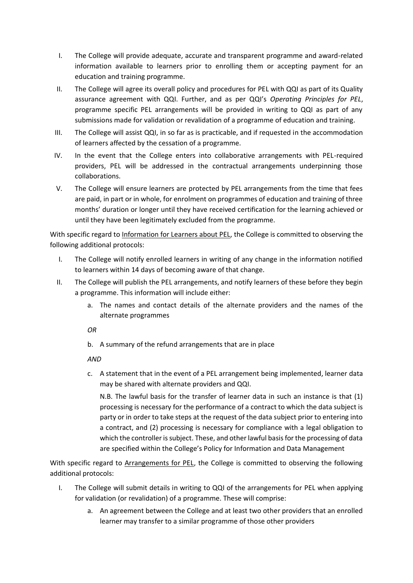- I. The College will provide adequate, accurate and transparent programme and award-related information available to learners prior to enrolling them or accepting payment for an education and training programme.
- II. The College will agree its overall policy and procedures for PEL with QQI as part of its Quality assurance agreement with QQI. Further, and as per QQI's *Operating Principles for PEL*, programme specific PEL arrangements will be provided in writing to QQI as part of any submissions made for validation or revalidation of a programme of education and training.
- III. The College will assist QQI, in so far as is practicable, and if requested in the accommodation of learners affected by the cessation of a programme.
- IV. In the event that the College enters into collaborative arrangements with PEL-required providers, PEL will be addressed in the contractual arrangements underpinning those collaborations.
- V. The College will ensure learners are protected by PEL arrangements from the time that fees are paid, in part or in whole, for enrolment on programmes of education and training of three months' duration or longer until they have received certification for the learning achieved or until they have been legitimately excluded from the programme.

With specific regard to Information for Learners about PEL, the College is committed to observing the following additional protocols:

- I. The College will notify enrolled learners in writing of any change in the information notified to learners within 14 days of becoming aware of that change.
- II. The College will publish the PEL arrangements, and notify learners of these before they begin a programme. This information will include either:
	- a. The names and contact details of the alternate providers and the names of the alternate programmes

*OR*

b. A summary of the refund arrangements that are in place

*AND*

c. A statement that in the event of a PEL arrangement being implemented, learner data may be shared with alternate providers and QQI.

N.B. The lawful basis for the transfer of learner data in such an instance is that (1) processing is necessary for the performance of a contract to which the data subject is party or in order to take steps at the request of the data subject prior to entering into a contract, and (2) processing is necessary for compliance with a legal obligation to which the controller is subject. These, and other lawful basis for the processing of data are specified within the College's Policy for Information and Data Management

With specific regard to Arrangements for PEL, the College is committed to observing the following additional protocols:

- I. The College will submit details in writing to QQI of the arrangements for PEL when applying for validation (or revalidation) of a programme. These will comprise:
	- a. An agreement between the College and at least two other providers that an enrolled learner may transfer to a similar programme of those other providers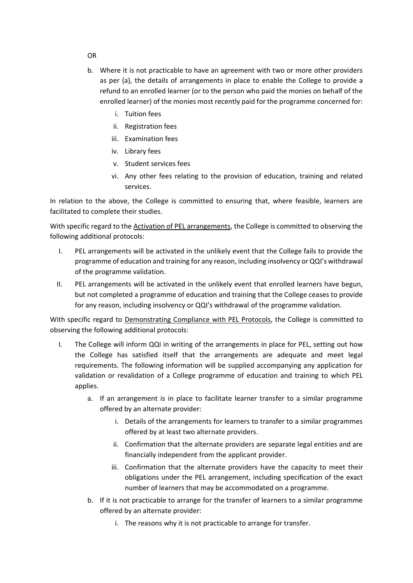- b. Where it is not practicable to have an agreement with two or more other providers as per (a), the details of arrangements in place to enable the College to provide a refund to an enrolled learner (or to the person who paid the monies on behalf of the enrolled learner) of the monies most recently paid for the programme concerned for:
	- i. Tuition fees
	- ii. Registration fees
	- iii. Examination fees
	- iv. Library fees
	- v. Student services fees
	- vi. Any other fees relating to the provision of education, training and related services.

In relation to the above, the College is committed to ensuring that, where feasible, learners are facilitated to complete their studies.

With specific regard to the Activation of PEL arrangements, the College is committed to observing the following additional protocols:

- I. PEL arrangements will be activated in the unlikely event that the College fails to provide the programme of education and training for any reason, including insolvency or QQI's withdrawal of the programme validation.
- II. PEL arrangements will be activated in the unlikely event that enrolled learners have begun, but not completed a programme of education and training that the College ceases to provide for any reason, including insolvency or QQI's withdrawal of the programme validation.

With specific regard to Demonstrating Compliance with PEL Protocols, the College is committed to observing the following additional protocols:

- I. The College will inform QQI in writing of the arrangements in place for PEL, setting out how the College has satisfied itself that the arrangements are adequate and meet legal requirements. The following information will be supplied accompanying any application for validation or revalidation of a College programme of education and training to which PEL applies.
	- a. If an arrangement is in place to facilitate learner transfer to a similar programme offered by an alternate provider:
		- i. Details of the arrangements for learners to transfer to a similar programmes offered by at least two alternate providers.
		- ii. Confirmation that the alternate providers are separate legal entities and are financially independent from the applicant provider.
		- iii. Confirmation that the alternate providers have the capacity to meet their obligations under the PEL arrangement, including specification of the exact number of learners that may be accommodated on a programme.
	- b. If it is not practicable to arrange for the transfer of learners to a similar programme offered by an alternate provider:
		- i. The reasons why it is not practicable to arrange for transfer.

OR